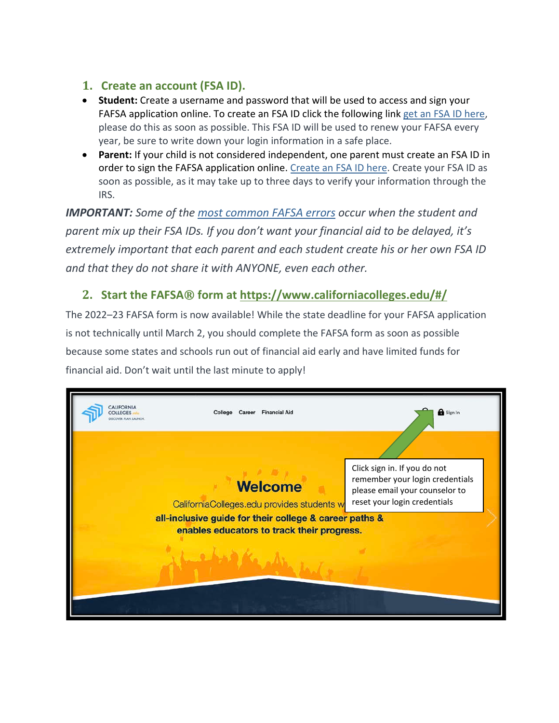## **1. Create an account (FSA ID).**

- **Student:** Create a username and password that will be used to access and sign your FAFSA application online. To create an FSA ID click the following link get an FSA ID [here,](https://studentaid.ed.gov/sa/fafsa/filling-out/fsaid) please do this as soon as possible. This FSA ID will be used to renew your FAFSA every year, be sure to write down your login information in a safe place.
- **Parent:** If your child is not considered independent, one parent must create an FSA ID in order to sign the FAFSA application online. [Create](https://studentaid.ed.gov/sa/fafsa/filling-out/fsaid) an FSA ID here. Create your FSA ID as soon as possible, as it may take up to three days to verify your information through the IRS.

*IMPORTANT: Some of the most [common](https://blog.ed.gov/2017/09/12-common-fafsa-mistakes-2/) FAFSA errors occur when the student and parent mix up their FSA IDs. If you don't want your financial aid to be delayed, it's extremely important that each parent and each student create his or her own FSA ID and that they do not share it with ANYONE, even each other.*

## **2. Start the FAFSA® form at <https://www.californiacolleges.edu/#/>**

The 2022–23 FAFSA form is now available! While the state deadline for your FAFSA application is not technically until March 2, you should complete the FAFSA form as soon as possible because some states and schools run out of financial aid early and have limited funds for financial aid. Don't wait until the last minute to apply!

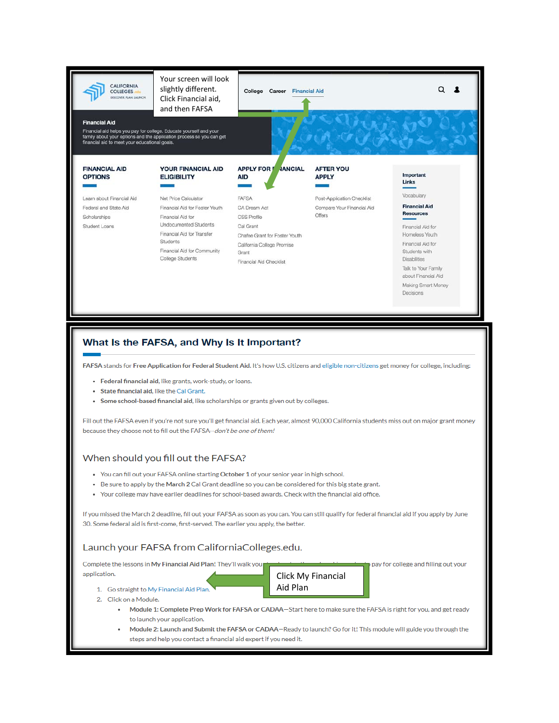

### What Is the FAFSA, and Why Is It Important?

FAFSA stands for Free Application for Federal Student Aid. It's how U.S. citizens and eligible non-citizens get money for college, including:

- . Federal financial aid, like grants, work-study, or loans,
- State financial aid, like the Cal Grant.  $\bullet$
- . Some school-based financial aid, like scholarships or grants given out by colleges.

Fill out the FAFSA even if you're not sure you'll get financial aid. Each year, almost 90,000 California students miss out on major grant money because they choose not to fill out the FAFSA--don't be one of them!

#### When should you fill out the FAFSA?

- You can fill out your FAFSA online starting October 1 of your senior year in high school.
- . Be sure to apply by the March 2 Cal Grant deadline so you can be considered for this big state grant.
- . Your college may have earlier deadlines for school-based awards. Check with the financial aid office.

If you missed the March 2 deadline, fill out your FAFSA as soon as you can. You can still qualify for federal financial aid if you apply by June 30. Some federal aid is first-come, first-served. The earlier you apply, the better.

#### Launch your FAFSA from CaliforniaColleges.edu.

Complete the lessons in My Financial Aid Plan! They'll walk you pay for college and filling out your application. Click My Financial

1. Go straight to My Financial Aid Plan.

Aid Plan

- 2. Click on a Module.
	- . Module 1: Complete Prep Work for FAFSA or CADAA-Start here to make sure the FAFSA is right for you, and get ready to launch your application.
	- Module 2: Launch and Submit the FAFSA or CADAA-Ready to launch? Go for it! This module will guide you through the steps and help you contact a financial aid expert if you need it.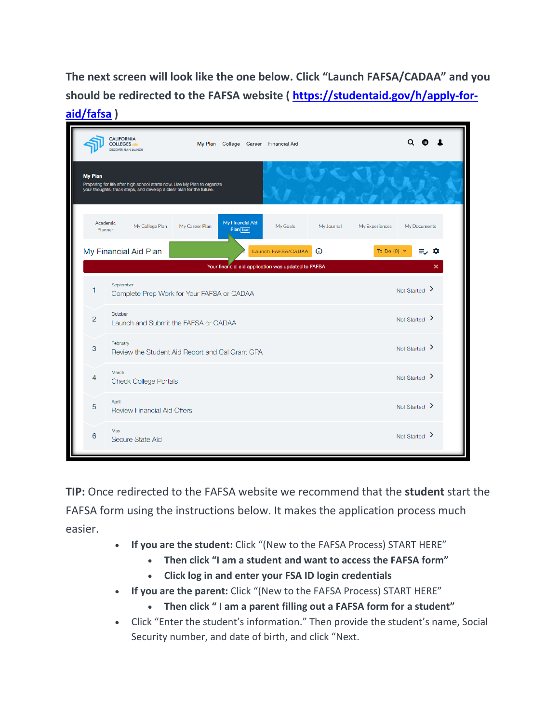**The next screen will look like the one below. Click "Launch FAFSA/CADAA" and you should be redirected to the FAFSA website ( [https://studentaid.gov/h/apply-for](https://studentaid.gov/h/apply-for-aid/fafsa)[aid/fafsa](https://studentaid.gov/h/apply-for-aid/fafsa) )**

|                |                     | <b>CALIFORNIA</b><br>COLLEGES.edu<br>My Plan College Career Financial Aid<br>DISCOVER, PLAN, LAUNCH,                                             | $Q \oplus$                         |
|----------------|---------------------|--------------------------------------------------------------------------------------------------------------------------------------------------|------------------------------------|
| <b>My Plan</b> |                     | Preparing for life after high school starts now. Use My Plan to organize<br>your thoughts, track steps, and develop a clear plan for the future. |                                    |
|                | Academic<br>Planner | My Financial Aid<br>My College Plan<br>My Journal<br>My Experiences<br>My Career Plan<br>My Goals<br>$Plan$ New                                  | My Documents                       |
|                |                     | My Financial Aid Plan<br>$\odot$<br>To Do (0) $\vee$<br>Launch FAFSA/CADAA<br>Your financial aid application was updated to FAFSA.               | ≡್ರ ≎<br>$\boldsymbol{\mathsf{x}}$ |
|                | 1                   | September<br>Complete Prep Work for Your FAFSA or CADAA                                                                                          | Not Started $\rightarrow$          |
|                | $\overline{2}$      | October<br>Launch and Submit the FAFSA or CADAA                                                                                                  | Not Started $\rightarrow$          |
|                | 3                   | February<br>Review the Student Aid Report and Cal Grant GPA                                                                                      | Not Started $\rightarrow$          |
|                | 4                   | March<br><b>Check College Portals</b>                                                                                                            | Not Started $\rightarrow$          |
|                | 5                   | April<br><b>Review Financial Aid Offers</b>                                                                                                      | Not Started $\rightarrow$          |
|                | 6                   | May<br>Secure State Aid                                                                                                                          | Not Started >                      |

**TIP:** Once redirected to the FAFSA website we recommend that the **student** start the FAFSA form using the instructions below. It makes the application process much easier.

- **If you are the student:** Click "(New to the FAFSA Process) START HERE"
	- **Then click "I am a student and want to access the FAFSA form"**
	- **Click log in and enter your FSA ID login credentials**
- **If you are the parent:** Click "(New to the FAFSA Process) START HERE"
	- **Then click " I am a parent filling out a FAFSA form for a student"**
- Click "Enter the student's information." Then provide the student's name, Social Security number, and date of birth, and click "Next.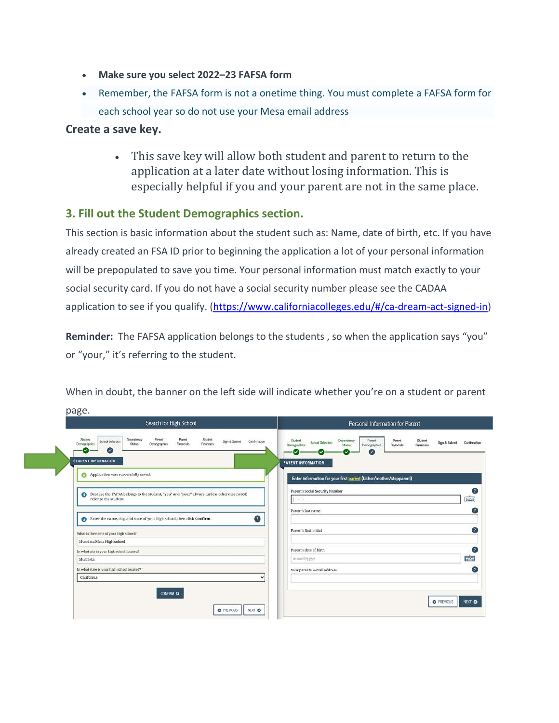- **Make sure you select 2022–23 FAFSA form**
- Remember, the FAFSA form is not a onetime thing. You must complete a FAFSA form for each school year so do not use your Mesa email address

### **Create a save key.**

• This save key will allow both student and parent to return to the application at a later date without losing information. This is especially helpful if you and your parent are not in the same place.

## **3. Fill out the Student Demographics section.**

This section is basic information about the student such as: Name, date of birth, etc. If you have already created an FSA ID prior to beginning the application a lot of your personal information will be prepopulated to save you time. Your personal information must match exactly to your social security card. If you do not have a social security number please see the CADAA application to see if you qualify. [\(https://www.californiacolleges.edu/#/ca-dream-act-signed-in\)](https://www.californiacolleges.edu/#/ca-dream-act-signed-in)

**Reminder:** The FAFSA application belongs to the students , so when the application says "you" or "your," it's referring to the student.

| When in doubt, the banner on the left side will indicate whether you're on a student or parent |  |  |  |  |
|------------------------------------------------------------------------------------------------|--|--|--|--|
| page.                                                                                          |  |  |  |  |

| Search for High School                                                                                                                                                                                                 | Personal Information for Parent                                                                                                                                                                                 |  |  |  |  |
|------------------------------------------------------------------------------------------------------------------------------------------------------------------------------------------------------------------------|-----------------------------------------------------------------------------------------------------------------------------------------------------------------------------------------------------------------|--|--|--|--|
| Dependency<br>Parent<br>Student<br>Parent<br>Student<br>Sign & Submit Confirmation<br>School Selection<br>Financials<br><b>Financials</b><br>Demographics<br><b>Status</b><br>Demographics<br>∽<br>STUDENT INFORMATION | Student<br>Student<br>Dependency<br>Parent<br>Parent<br>School Selection<br>Sign & Submit Confirmation<br>Financials<br>Demographics<br>Demographics<br>Financials<br>Status:<br>✓<br><b>PARENT INFORMATION</b> |  |  |  |  |
| Application was successfully saved.<br>Θ                                                                                                                                                                               | Enter Information for your first parent (father/mother/stepparent)                                                                                                                                              |  |  |  |  |
| Because the FAFSA belongs to the student, "you" and "your" always (unless otherwise noted)<br>refer to the student.                                                                                                    | $\sqrt{2}$<br>Parent's Social Security Number<br>[11]<br><b>Section</b>                                                                                                                                         |  |  |  |  |
| $\left( 7\right)$<br>Enter the name, city, and state of your high school, then click Confirm.                                                                                                                          | $\left( 2\right)$<br>Parent's last name                                                                                                                                                                         |  |  |  |  |
| What is the name of your high school?                                                                                                                                                                                  | $\Omega$<br>Parent's first initial                                                                                                                                                                              |  |  |  |  |
| Murrieta Mesa High school                                                                                                                                                                                              | $\overline{z}$<br>Parent's date of birth                                                                                                                                                                        |  |  |  |  |
| In what city is your high school located?<br>Murrieta                                                                                                                                                                  | <b>First</b><br>mm/dd/yyyy                                                                                                                                                                                      |  |  |  |  |
| In what state is your high school located?                                                                                                                                                                             | $\left( 2\right)$<br>Your parents' e-mail address                                                                                                                                                               |  |  |  |  |
| California                                                                                                                                                                                                             |                                                                                                                                                                                                                 |  |  |  |  |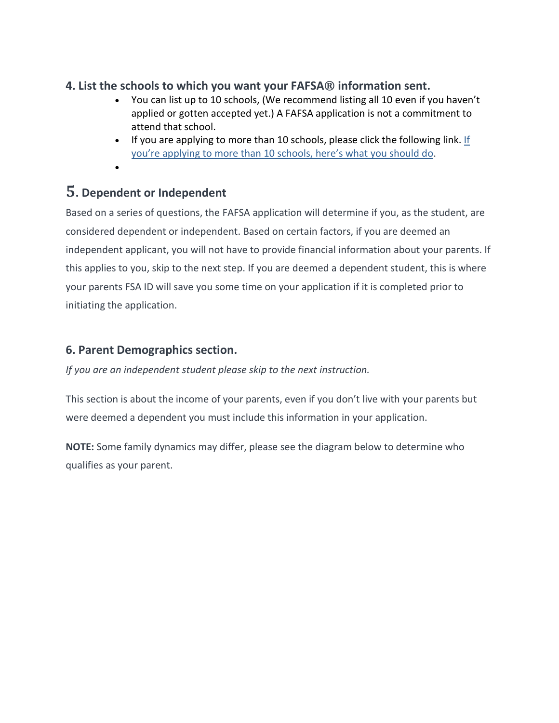## **4. List the schools to which you want your FAFSA® information sent.**

- You can list up to 10 schools, (We recommend listing all 10 even if you haven't applied or gotten accepted yet.) A FAFSA application is not a commitment to attend that school.
- • [If](https://fafsa.ed.gov/help/fotwfaq14.htm) you are applying to more than 10 schools, please click the following link. If you're [applying](https://fafsa.ed.gov/help/fotwfaq14.htm) to more than 10 schools, here's what you should do.
- •

# **5. Dependent or Independent**

Based on a series of questions, the FAFSA application will determine if you, as the student, are considered dependent or independent. Based on certain factors, if you are deemed an independent applicant, you will not have to provide financial information about your parents. If this applies to you, skip to the next step. If you are deemed a dependent student, this is where your parents FSA ID will save you some time on your application if it is completed prior to initiating the application.

## **6. Parent Demographics section.**

*If you are an independent student please skip to the next instruction.* 

This section is about the income of your parents, even if you don't live with your parents but were deemed a dependent you must include this information in your application.

**NOTE:** Some family dynamics may differ, please see the diagram below to determine who qualifies as your parent.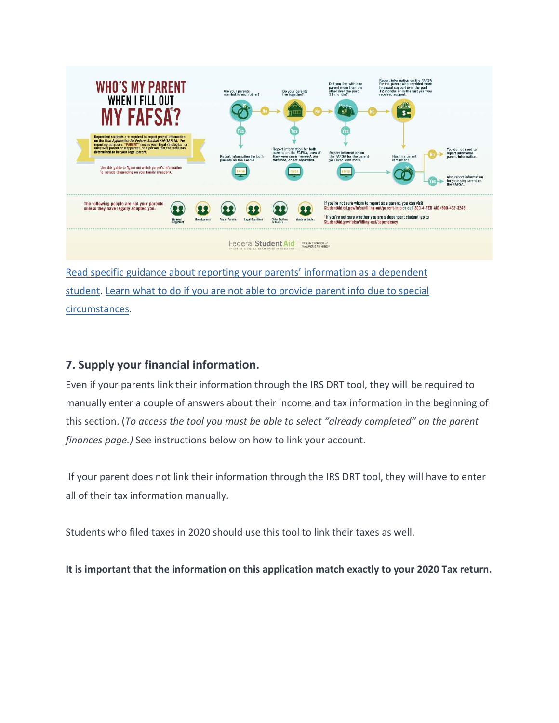

Read specific guidance about reporting your parents' [information](https://studentaid.ed.gov/sa/fafsa/filling-out/parent-info) as a dependent [student.](https://studentaid.ed.gov/sa/fafsa/filling-out/parent-info) Learn what to do if you are not able to [provide](https://studentaid.ed.gov/sa/fafsa/filling-out/parent-info#special-circumstances) parent info due to special [circumstances.](https://studentaid.ed.gov/sa/fafsa/filling-out/parent-info#special-circumstances)

## **7. Supply your financial information.**

Even if your parents link their information through the IRS DRT tool, they will be required to manually enter a couple of answers about their income and tax information in the beginning of this section. (*To access the tool you must be able to select "already completed" on the parent finances page.)* See instructions below on how to link your account.

If your parent does not link their information through the IRS DRT tool, they will have to enter all of their tax information manually.

Students who filed taxes in 2020 should use this tool to link their taxes as well.

**It is important that the information on this application match exactly to your 2020 Tax return.**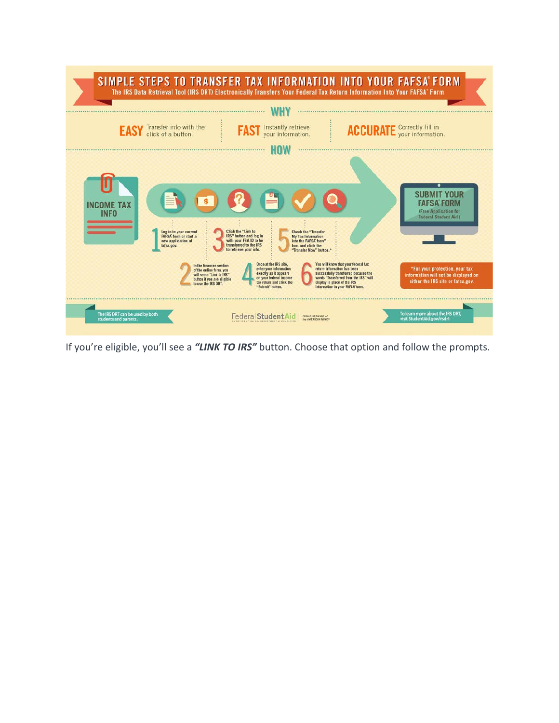

If you're eligible, you'll see a *"LINK TO IRS"* button. Choose that option and follow the prompts.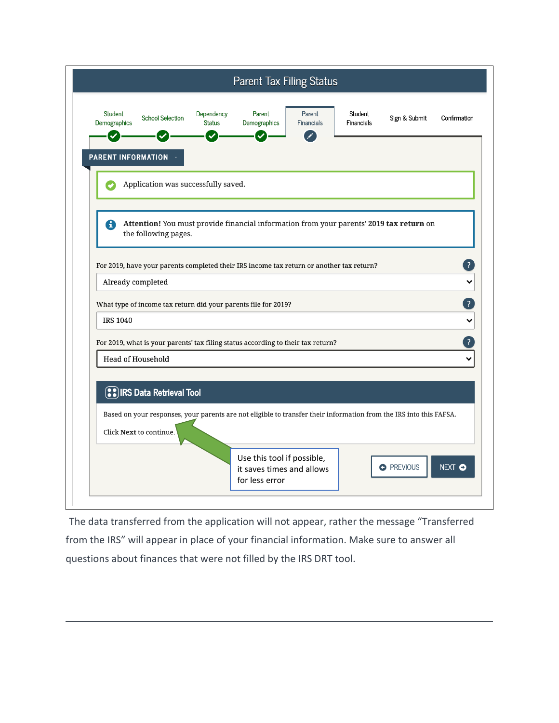|                                |                                                                                                                                               |                             | <b>Parent Tax Filing Status</b> |                             |                       |               |                                   |
|--------------------------------|-----------------------------------------------------------------------------------------------------------------------------------------------|-----------------------------|---------------------------------|-----------------------------|-----------------------|---------------|-----------------------------------|
| <b>Student</b><br>Demographics | <b>School Selection</b>                                                                                                                       | Dependency<br><b>Status</b> | Parent<br>Demographics          | Parent<br><b>Financials</b> | Student<br>Financials | Sign & Submit | Confirmation                      |
| <b>PARENT INFORMATION</b>      | Application was successfully saved.                                                                                                           |                             |                                 |                             |                       |               |                                   |
| A                              | Attention! You must provide financial information from your parents' 2019 tax return on<br>the following pages.                               |                             |                                 |                             |                       |               |                                   |
| Already completed              | For 2019, have your parents completed their IRS income tax return or another tax return?                                                      |                             |                                 |                             |                       |               | $\overline{?}$                    |
| <b>IRS 1040</b>                | What type of income tax return did your parents file for 2019?                                                                                |                             |                                 |                             |                       |               | $\left( \frac{1}{2} \right)$<br>╰ |
|                                | For 2019, what is your parents' tax filing status according to their tax return?                                                              |                             |                                 |                             |                       |               | <u>7</u>                          |
|                                | <b>Head of Household</b>                                                                                                                      |                             |                                 |                             |                       |               |                                   |
|                                | <b>(:</b> IRS Data Retrieval Tool                                                                                                             |                             |                                 |                             |                       |               |                                   |
|                                | Based on your responses, your parents are not eligible to transfer their information from the IRS into this FAFSA.<br>Click Next to continue. |                             |                                 |                             |                       |               |                                   |
|                                |                                                                                                                                               |                             |                                 |                             |                       |               |                                   |

The data transferred from the application will not appear, rather the message "Transferred from the IRS" will appear in place of your financial information. Make sure to answer all questions about finances that were not filled by the IRS DRT tool.